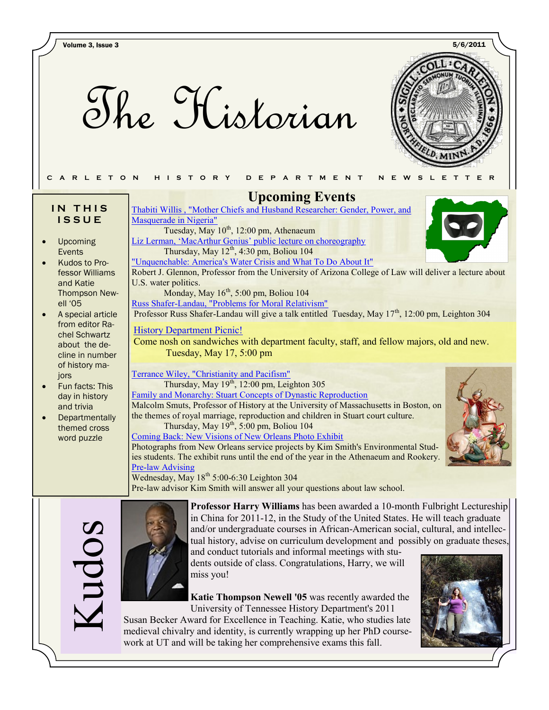The Historian



### IN THIS **I S S U E**

- Upcoming Events
- Kudos to Professor Williams and Katie Thompson Newell '05
- A special article from editor Rachel Schwartz about the decline in number of history majors
- Fun facts: This day in history and trivia
- **Departmentally** themed cross word puzzle

 **Upcoming Events**

[Thabiti Willis , "Mother Chiefs and Husband Researcher: Gender, Power, and](http://apps.carleton.edu/curricular/history/UpcomingEvents/?event_id=715290)  [Masquerade in Nigeria"](http://apps.carleton.edu/curricular/history/UpcomingEvents/?event_id=715290) Tuesday, May 10<sup>th</sup>, 12:00 pm, Athenaeum

[Liz Lerman, ‗MacArthur Genius' public lecture on choreography](http://apps.carleton.edu/campus/viz/calendar/?event_id=705692) Thursday, May  $12^{th}$ , 4:30 pm, Boliou 104

["Unquenchable: America's Water Crisis and What To Do About It"](http://apps.carleton.edu/curricular/ents/events/?event_id=723799) Robert J. Glennon, Professor from the University of Arizona College of Law will deliver a lecture about U.S. water politics.

Monday, May  $16<sup>th</sup>$ , 5:00 pm, Boliou 104 [Russ Shafer-Landau, "Problems for Moral Relativism"](http://apps.carleton.edu/curricular/philosophy/calendar/?event_id=728148)

Professor Russ Shafer-Landau will give a talk entitled Tuesday, May 17<sup>th</sup>, 12:00 pm, Leighton 304

## **History Department Picnic!**

Come nosh on sandwiches with department faculty, staff, and fellow majors, old and new. Tuesday, May 17, 5:00 pm

[Terrance Wiley, "Christianity and Pacifism"](http://apps.carleton.edu/campus/chaplain/schedule/?event_id=719997) Thursday, May  $19<sup>th</sup>$ , 12:00 pm, Leighton 305

[Family and Monarchy: Stuart Concepts of Dynastic Reproduction](http://apps.carleton.edu/curricular/arts/events/?event_id=726809) Malcolm Smuts, Professor of History at the University of Massachusetts in Boston, on the themes of royal marriage, reproduction and children in Stuart court culture. Thursday, May 19<sup>th</sup>, 5:00 pm, Boliou 104

[Coming Back: New Visions of New Orleans Photo Exhibit](http://apps.carleton.edu/campus/viz/calendar/?view=monthly&start_date=2011-04-05&event_id=729816&date=2011-05-03) Photographs from New Orleans service projects by Kim Smith's Environmental Studies students. The exhibit runs until the end of the year in the Athenaeum and Rookery. Pre-law Advising

Wednesday, May  $18^{th}$  5:00-6:30 Leighton 304 Pre-law advisor Kim Smith will answer all your questions about law school.



**Professor Harry Williams** has been awarded a 10-month Fulbright Lectureship in China for 2011-12, in the Study of the United States. He will teach graduate and/or undergraduate courses in African-American social, cultural, and intellectual history, advise on curriculum development and possibly on graduate theses,

and conduct tutorials and informal meetings with students outside of class. Congratulations, Harry, we will miss you!

**Katie Thompson Newell '05** was recently awarded the University of Tennessee History Department's 2011

Susan Becker Award for Excellence in Teaching. Katie, who studies late medieval chivalry and identity, is currently wrapping up her PhD coursework at UT and will be taking her comprehensive exams this fall.





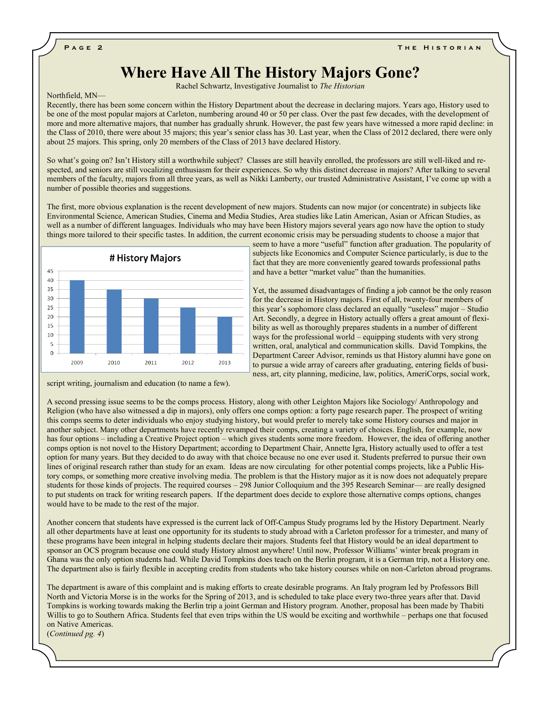## **Where Have All The History Majors Gone?**

Rachel Schwartz, Investigative Journalist to *The Historian*

#### Northfield, MN—

Recently, there has been some concern within the History Department about the decrease in declaring majors. Years ago, History used to be one of the most popular majors at Carleton, numbering around 40 or 50 per class. Over the past few decades, with the development of more and more alternative majors, that number has gradually shrunk. However, the past few years have witnessed a more rapid decline: in the Class of 2010, there were about 35 majors; this year's senior class has 30. Last year, when the Class of 2012 declared, there were only about 25 majors. This spring, only 20 members of the Class of 2013 have declared History.

So what's going on? Isn't History still a worthwhile subject? Classes are still heavily enrolled, the professors are still well-liked and respected, and seniors are still vocalizing enthusiasm for their experiences. So why this distinct decrease in majors? After talking to several members of the faculty, majors from all three years, as well as Nikki Lamberty, our trusted Administrative Assistant, I've come up with a number of possible theories and suggestions.

The first, more obvious explanation is the recent development of new majors. Students can now major (or concentrate) in subjects like Environmental Science, American Studies, Cinema and Media Studies, Area studies like Latin American, Asian or African Studies, as well as a number of different languages. Individuals who may have been History majors several years ago now have the option to study things more tailored to their specific tastes. In addition, the current economic crisis may be persuading students to choose a major that



script writing, journalism and education (to name a few).

seem to have a more "useful" function after graduation. The popularity of subjects like Economics and Computer Science particularly, is due to the fact that they are more conveniently geared towards professional paths and have a better "market value" than the humanities.

Yet, the assumed disadvantages of finding a job cannot be the only reason for the decrease in History majors. First of all, twenty-four members of this year's sophomore class declared an equally "useless" major – Studio Art. Secondly, a degree in History actually offers a great amount of flexibility as well as thoroughly prepares students in a number of different ways for the professional world – equipping students with very strong written, oral, analytical and communication skills. David Tompkins, the Department Career Advisor, reminds us that History alumni have gone on to pursue a wide array of careers after graduating, entering fields of business, art, city planning, medicine, law, politics, AmeriCorps, social work,

A second pressing issue seems to be the comps process. History, along with other Leighton Majors like Sociology/ Anthropology and Religion (who have also witnessed a dip in majors), only offers one comps option: a forty page research paper. The prospect of writing this comps seems to deter individuals who enjoy studying history, but would prefer to merely take some History courses and major in another subject. Many other departments have recently revamped their comps, creating a variety of choices. English, for example, now has four options – including a Creative Project option – which gives students some more freedom. However, the idea of offering another comps option is not novel to the History Department; according to Department Chair, Annette Igra, History actually used to offer a test option for many years. But they decided to do away with that choice because no one ever used it. Students preferred to pursue their own lines of original research rather than study for an exam. Ideas are now circulating for other potential comps projects, like a Public History comps, or something more creative involving media. The problem is that the History major as it is now does not adequately prepare students for those kinds of projects. The required courses – 298 Junior Colloquium and the 395 Research Seminar— are really designed to put students on track for writing research papers. If the department does decide to explore those alternative comps options, changes would have to be made to the rest of the major.

Another concern that students have expressed is the current lack of Off-Campus Study programs led by the History Department. Nearly all other departments have at least one opportunity for its students to study abroad with a Carleton professor for a trimester, and many of these programs have been integral in helping students declare their majors. Students feel that History would be an ideal department to sponsor an OCS program because one could study History almost anywhere! Until now, Professor Williams' winter break program in Ghana was the only option students had. While David Tompkins does teach on the Berlin program, it is a German trip, not a History one. The department also is fairly flexible in accepting credits from students who take history courses while on non-Carleton abroad programs.

The department is aware of this complaint and is making efforts to create desirable programs. An Italy program led by Professors Bill North and Victoria Morse is in the works for the Spring of 2013, and is scheduled to take place every two-three years after that. David Tompkins is working towards making the Berlin trip a joint German and History program. Another, proposal has been made by Thabiti Willis to go to Southern Africa. Students feel that even trips within the US would be exciting and worthwhile – perhaps one that focused on Native Americas.

(*Continued pg. 4*)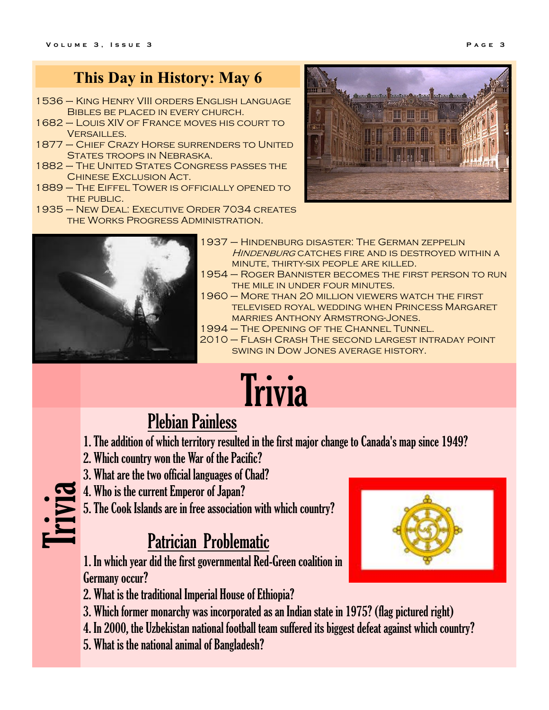## **This Day in History: May 6**

- 1536 King Henry VIII orders English language Bibles be placed in every church.
- 1682 Louis XIV of France moves his court to Versailles.
- 1877 Chief Crazy Horse surrenders to United States troops in Nebraska.
- 1882 The United States Congress passes the Chinese Exclusion Act.
- 1889 The Eiffel Tower is officially opened to THE PUBLIC.
- 1935 New Deal: Executive Order 7034 creates the Works Progress Administration.





- 1937 Hindenburg disaster: The German zeppelin HINDENBURG CATCHES FIRE AND IS DESTROYED WITHIN A minute, thirty-six people are killed.
- 1954 Roger Bannister becomes the first person to run THE MILE IN UNDER FOUR MINUTES.
- 1960 More than 20 million viewers watch the first televised royal wedding when Princess Margaret marries Anthony Armstrong-Jones.
- 1994 The Opening of the Channel Tunnel.
- 2010 Flash Crash The second largest intraday point swing in Dow Jones average history.

# Trivia

# Plebian Painless

- 1. The addition of which territory resulted in the first major change to Canada's map since 1949?
- 2. Which country won the War of the Pacific?
- 3. What are the two official languages of Chad?
- 4. Who is the current Emperor of Japan? Trivia
	- 5. The Cook Islands are in free association with which country?

# Patrician Problematic

1. In which year did the first governmental Red-Green coalition in Germany occur?

- 2. What is the traditional Imperial House of Ethiopia?
- 3. Which former monarchy was incorporated as an Indian state in 1975? (flag pictured right)
- 4. In 2000, the Uzbekistan national football team suffered its biggest defeat against which country?
- 5. What is the national animal of Bangladesh?